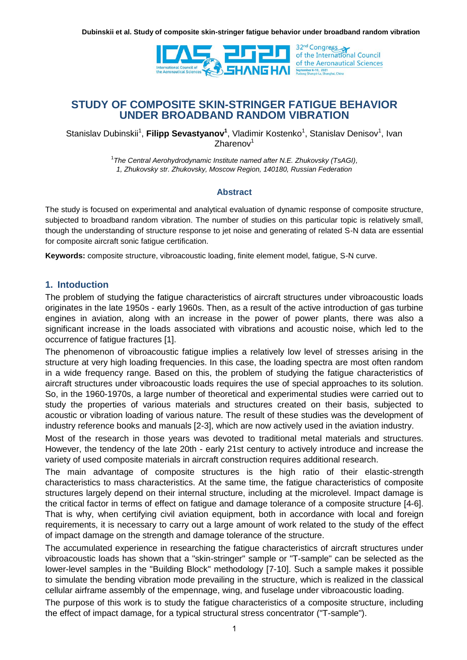

**STUDY OF COMPOSITE SKIN-STRINGER FATIGUE BEHAVIOR UNDER BROADBAND RANDOM VIBRATION**

Stanislav Dubinskii<sup>1</sup>, Filipp Sevastyanov<sup>1</sup>, Vladimir Kostenko<sup>1</sup>, Stanislav Denisov<sup>1</sup>, Ivan  $Z$ harenov $1$ 

> 1 *The Central Aerohydrodynamic Institute named after N.E. Zhukovsky (TsAGI), 1, Zhukovsky str. Zhukovsky, Moscow Region, 140180, Russian Federation*

#### **Abstract**

The study is focused on experimental and analytical evaluation of dynamic response of composite structure, subjected to broadband random vibration. The number of studies on this particular topic is relatively small, though the understanding of structure response to jet noise and generating of related S-N data are essential for composite aircraft sonic fatigue certification.

**Keywords:** composite structure, vibroacoustic loading, finite element model, fatigue, S-N curve.

### **1. Intoduction**

The problem of studying the fatigue characteristics of aircraft structures under vibroacoustic loads originates in the late 1950s - early 1960s. Then, as a result of the active introduction of gas turbine engines in aviation, along with an increase in the power of power plants, there was also a significant increase in the loads associated with vibrations and acoustic noise, which led to the occurrence of fatigue fractures [1].

The phenomenon of vibroacoustic fatigue implies a relatively low level of stresses arising in the structure at very high loading frequencies. In this case, the loading spectra are most often random in a wide frequency range. Based on this, the problem of studying the fatigue characteristics of aircraft structures under vibroacoustic loads requires the use of special approaches to its solution. So, in the 1960-1970s, a large number of theoretical and experimental studies were carried out to study the properties of various materials and structures created on their basis, subjected to acoustic or vibration loading of various nature. The result of these studies was the development of industry reference books and manuals [2-3], which are now actively used in the aviation industry.

Most of the research in those years was devoted to traditional metal materials and structures. However, the tendency of the late 20th - early 21st century to actively introduce and increase the variety of used composite materials in aircraft construction requires additional research.

The main advantage of composite structures is the high ratio of their elastic-strength characteristics to mass characteristics. At the same time, the fatigue characteristics of composite structures largely depend on their internal structure, including at the microlevel. Impact damage is the critical factor in terms of effect on fatigue and damage tolerance of a composite structure [4-6]. That is why, when certifying civil aviation equipment, both in accordance with local and foreign requirements, it is necessary to carry out a large amount of work related to the study of the effect of impact damage on the strength and damage tolerance of the structure.

The accumulated experience in researching the fatigue characteristics of aircraft structures under vibroacoustic loads has shown that a "skin-stringer" sample or "T-sample" can be selected as the lower-level samples in the "Building Block" methodology [7-10]. Such a sample makes it possible to simulate the bending vibration mode prevailing in the structure, which is realized in the classical cellular airframe assembly of the empennage, wing, and fuselage under vibroacoustic loading.

The purpose of this work is to study the fatigue characteristics of a composite structure, including the effect of impact damage, for a typical structural stress concentrator ("T-sample").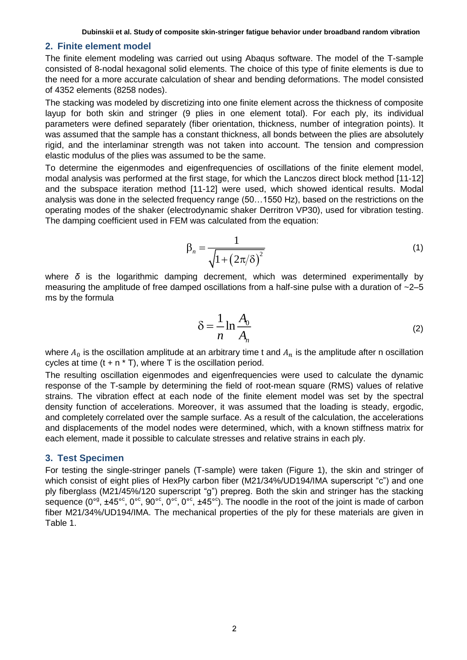#### **2. Finite element model**

The finite element modeling was carried out using Abaqus software. The model of the T-sample consisted of 8-nodal hexagonal solid elements. The choice of this type of finite elements is due to the need for a more accurate calculation of shear and bending deformations. The model consisted of 4352 elements (8258 nodes).

The stacking was modeled by discretizing into one finite element across the thickness of composite layup for both skin and stringer (9 plies in one element total). For each ply, its individual parameters were defined separately (fiber orientation, thickness, number of integration points). It was assumed that the sample has a constant thickness, all bonds between the plies are absolutely rigid, and the interlaminar strength was not taken into account. The tension and compression elastic modulus of the plies was assumed to be the same.

To determine the eigenmodes and eigenfrequencies of oscillations of the finite element model, modal analysis was performed at the first stage, for which the Lanczos direct block method [11-12] and the subspace iteration method [11-12] were used, which showed identical results. Modal analysis was done in the selected frequency range (50…1550 Hz), based on the restrictions on the operating modes of the shaker (electrodynamic shaker Derritron VP30), used for vibration testing. The damping coefficient used in FEM was calculated from the equation:

$$
\beta_n = \frac{1}{\sqrt{1 + \left(2\pi/\delta\right)^2}}\tag{1}
$$

where *δ* is the logarithmic damping decrement, which was determined experimentally by measuring the amplitude of free damped oscillations from a half-sine pulse with a duration of  $\sim$ 2–5 ms by the formula

$$
\delta = \frac{1}{n} \ln \frac{A_0}{A_n} \tag{2}
$$

where  $A_0$  is the oscillation amplitude at an arbitrary time t and  $A_n$  is the amplitude after n oscillation cycles at time  $(t + n * T)$ , where T is the oscillation period.

The resulting oscillation eigenmodes and eigenfrequencies were used to calculate the dynamic response of the T-sample by determining the field of root-mean square (RMS) values of relative strains. The vibration effect at each node of the finite element model was set by the spectral density function of accelerations. Moreover, it was assumed that the loading is steady, ergodic, and completely correlated over the sample surface. As a result of the calculation, the accelerations and displacements of the model nodes were determined, which, with a known stiffness matrix for each element, made it possible to calculate stresses and relative strains in each ply.

### **3. Test Specimen**

For testing the single-stringer panels (T-sample) were taken (Figure 1), the skin and stringer of which consist of eight plies of HexPly carbon fiber (M21/34%/UD194/IMA superscript "c") and one ply fiberglass (M21/45%/120 superscript "g") prepreg. Both the skin and stringer has the stacking sequence (0<sup>og</sup>,  $\pm 45^{\circ}$ c, 0<sup>o</sup>c, 90<sup>oc</sup>, 0<sup>oc</sup>, 0<sup>oc</sup>,  $\pm 45^{\circ}$ c). The noodle in the root of the joint is made of carbon fiber M21/34%/UD194/IMA. The mechanical properties of the ply for these materials are given in Table 1.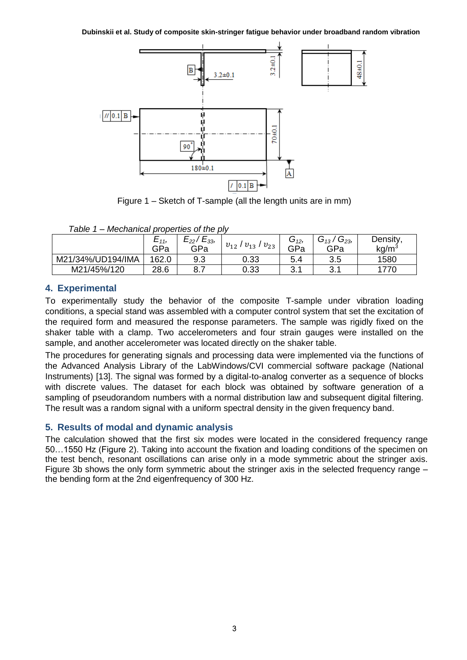**Dubinskii et al. Study of composite skin-stringer fatigue behavior under broadband random vibration**



Figure 1 – Sketch of T-sample (all the length units are in mm)

| Table 1 – Mechanical properties of the ply |  |  |
|--------------------------------------------|--|--|
|--------------------------------------------|--|--|

|                   | $E_{11}$ | $E_{33}$<br>$E_{22}$ , |                                  | G <sub>12</sub> , | $\sim$<br>$\sim$<br>ر 13 ت<br>$G_{23}$ | Density,          |
|-------------------|----------|------------------------|----------------------------------|-------------------|----------------------------------------|-------------------|
|                   | GPa      | GPa                    | $v_{23}$<br>$v_{12}$<br>$v_{13}$ | GPa               | GPa                                    | kg/m <sup>3</sup> |
| M21/34%/UD194/IMA | 162.0    | 9.3                    | 0.33                             | 5.4               | 3.5                                    | 1580              |
| M21/45%/120       | 28.6     | 8.7                    | 0.33                             | R 1<br>◡. ៶       | ?1<br>ບ.                               | 1770              |

# **4. Experimental**

To experimentally study the behavior of the composite T-sample under vibration loading conditions, a special stand was assembled with a computer control system that set the excitation of the required form and measured the response parameters. The sample was rigidly fixed on the shaker table with a clamp. Two accelerometers and four strain gauges were installed on the sample, and another accelerometer was located directly on the shaker table.

The procedures for generating signals and processing data were implemented via the functions of the Advanced Analysis Library of the LabWindows/CVI commercial software package (National Instruments) [13]. The signal was formed by a digital-to-analog converter as a sequence of blocks with discrete values. The dataset for each block was obtained by software generation of a sampling of pseudorandom numbers with a normal distribution law and subsequent digital filtering. The result was a random signal with a uniform spectral density in the given frequency band.

# **5. Results of modal and dynamic analysis**

The calculation showed that the first six modes were located in the considered frequency range 50…1550 Hz (Figure 2). Taking into account the fixation and loading conditions of the specimen on the test bench, resonant oscillations can arise only in a mode symmetric about the stringer axis. Figure 3b shows the only form symmetric about the stringer axis in the selected frequency range – the bending form at the 2nd eigenfrequency of 300 Hz.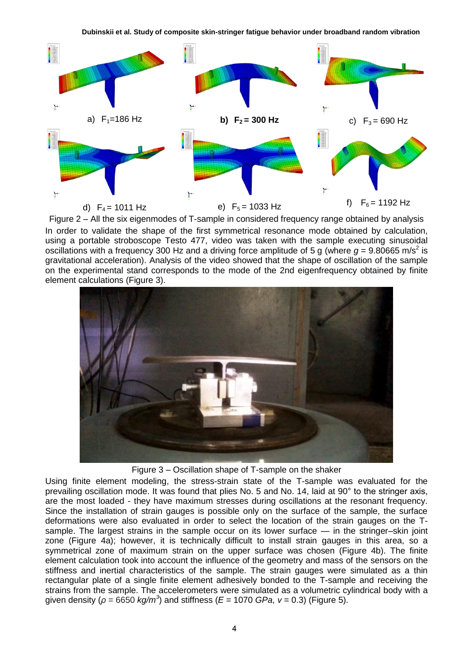

Figure 2 – All the six eigenmodes of T-sample in considered frequency range obtained by analysis In order to validate the shape of the first symmetrical resonance mode obtained by calculation, using a portable stroboscope Testo 477, video was taken with the sample executing sinusoidal oscillations with a frequency 300 Hz and a driving force amplitude of 5 g (where  $g = 9.80665$  m/s<sup>2</sup> is gravitational acceleration). Analysis of the video showed that the shape of oscillation of the sample on the experimental stand corresponds to the mode of the 2nd eigenfrequency obtained by finite element calculations (Figure 3).



Figure 3 – Oscillation shape of T-sample on the shaker

Using finite element modeling, the stress-strain state of the T-sample was evaluated for the prevailing oscillation mode. It was found that plies No. 5 and No. 14, laid at 90° to the stringer axis, are the most loaded - they have maximum stresses during oscillations at the resonant frequency. Since the installation of strain gauges is possible only on the surface of the sample, the surface deformations were also evaluated in order to select the location of the strain gauges on the Tsample. The largest strains in the sample occur on its lower surface — in the stringer–skin joint zone (Figure 4a); however, it is technically difficult to install strain gauges in this area, so a symmetrical zone of maximum strain on the upper surface was chosen (Figure 4b). The finite element calculation took into account the influence of the geometry and mass of the sensors on the stiffness and inertial characteristics of the sample. The strain gauges were simulated as a thin rectangular plate of a single finite element adhesively bonded to the T-sample and receiving the strains from the sample. The accelerometers were simulated as a volumetric cylindrical body with a given density (*ρ* = 6650 *kg/m<sup>3</sup>* ) and stiffness (*E* = 1070 *GPa*, *ν* = 0.3) (Figure 5).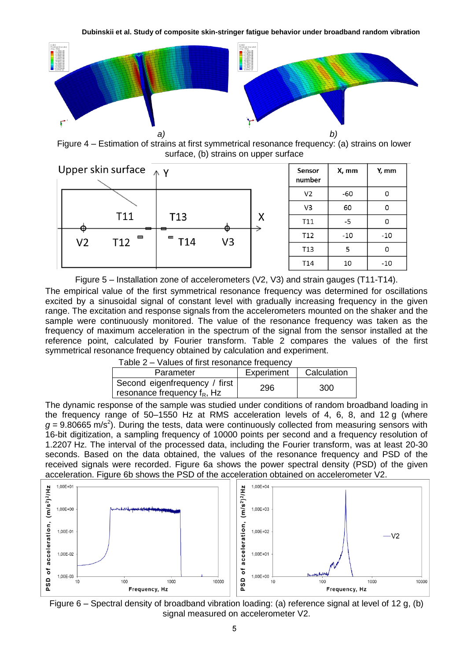

Figure 4 – Estimation of strains at first symmetrical resonance frequency: (a) strains on lower surface, (b) strains on upper surface



| Sensor<br>number | X, mm | Y, mm |
|------------------|-------|-------|
| V <sub>2</sub>   | -60   | O     |
| V3               | 60    | O     |
| T11              | -5    | 0     |
| T12              | $-10$ | -10   |
| T13              | 5     | 0     |
| T <sub>14</sub>  | 10    | -10   |

Figure 5 – Installation zone of accelerometers (V2, V3) and strain gauges (T11-T14).

The empirical value of the first symmetrical resonance frequency was determined for oscillations excited by a sinusoidal signal of constant level with gradually increasing frequency in the given range. The excitation and response signals from the accelerometers mounted on the shaker and the sample were continuously monitored. The value of the resonance frequency was taken as the frequency of maximum acceleration in the spectrum of the signal from the sensor installed at the reference point, calculated by Fourier transform. Table 2 compares the values of the first symmetrical resonance frequency obtained by calculation and experiment.

| Table 2 – Values of first resonance frequency |  |
|-----------------------------------------------|--|
|-----------------------------------------------|--|

| Parameter                                                       | Experiment | Calculation |
|-----------------------------------------------------------------|------------|-------------|
| Second eigenfrequency / first<br>resonance frequency $f_R$ , Hz | 296        | 300         |

The dynamic response of the sample was studied under conditions of random broadband loading in the frequency range of 50–1550 Hz at RMS acceleration levels of 4, 6, 8, and 12 g (where  $g = 9.80665$  m/s<sup>2</sup>). During the tests, data were continuously collected from measuring sensors with 16-bit digitization, a sampling frequency of 10000 points per second and a frequency resolution of 1.2207 Hz. The interval of the processed data, including the Fourier transform, was at least 20-30 seconds. Based on the data obtained, the values of the resonance frequency and PSD of the received signals were recorded. Figure 6a shows the power spectral density (PSD) of the given acceleration. Figure 6b shows the PSD of the acceleration obtained on accelerometer V2.



Figure 6 – Spectral density of broadband vibration loading: (a) reference signal at level of 12 g, (b) signal measured on accelerometer V2.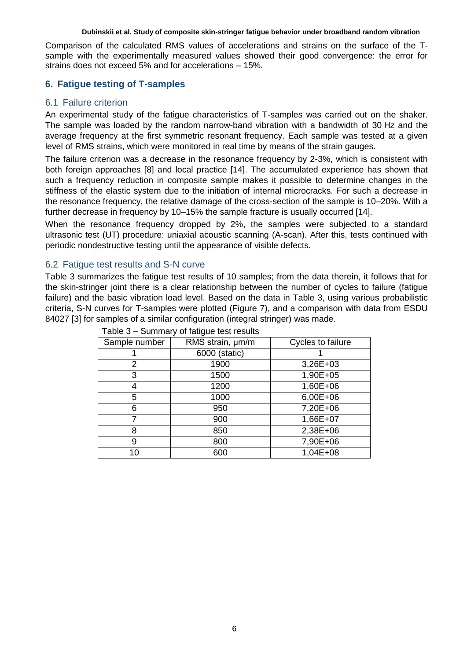Comparison of the calculated RMS values of accelerations and strains on the surface of the Tsample with the experimentally measured values showed their good convergence: the error for strains does not exceed 5% and for accelerations – 15%.

### **6. Fatigue testing of T-samples**

### 6.1 Failure criterion

An experimental study of the fatigue characteristics of T-samples was carried out on the shaker. The sample was loaded by the random narrow-band vibration with a bandwidth of 30 Hz and the average frequency at the first symmetric resonant frequency. Each sample was tested at a given level of RMS strains, which were monitored in real time by means of the strain gauges.

The failure criterion was a decrease in the resonance frequency by 2-3%, which is consistent with both foreign approaches [8] and local practice [14]. The accumulated experience has shown that such a frequency reduction in composite sample makes it possible to determine changes in the stiffness of the elastic system due to the initiation of internal microcracks. For such a decrease in the resonance frequency, the relative damage of the cross-section of the sample is 10–20%. With a further decrease in frequency by 10–15% the sample fracture is usually occurred [14].

When the resonance frequency dropped by 2%, the samples were subjected to a standard ultrasonic test (UT) procedure: uniaxial acoustic scanning (A-scan). After this, tests continued with periodic nondestructive testing until the appearance of visible defects.

### 6.2 Fatigue test results and S-N curve

Table 3 summarizes the fatigue test results of 10 samples; from the data therein, it follows that for the skin-stringer joint there is a clear relationship between the number of cycles to failure (fatigue failure) and the basic vibration load level. Based on the data in Table 3, using various probabilistic criteria, S-N curves for T-samples were plotted (Figure 7), and a comparison with data from ESDU 84027 [3] for samples of a similar configuration (integral stringer) was made.

| Sample number | RMS strain, um/m | Cycles to failure |  |  |
|---------------|------------------|-------------------|--|--|
|               | 6000 (static)    |                   |  |  |
| 2             | 1900             | 3,26E+03          |  |  |
| 3             | 1500             | 1,90E+05          |  |  |
|               | 1200             | 1,60E+06          |  |  |
| 5             | 1000             | 6,00E+06          |  |  |
| 6             | 950              | 7,20E+06          |  |  |
|               | 900              | 1,66E+07          |  |  |
| 8             | 850              | 2,38E+06          |  |  |
| 9             | 800              | 7,90E+06          |  |  |
| 10            | 600              | $1,04E+08$        |  |  |

|  | Table 3 – Summary of fatigue test results |
|--|-------------------------------------------|
|--|-------------------------------------------|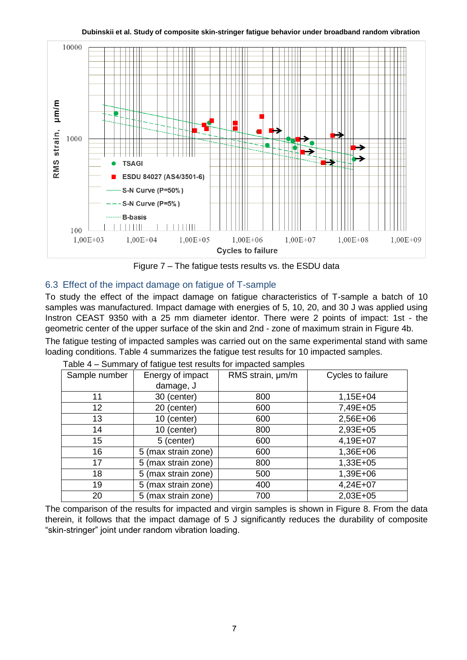

**Dubinskii et al. Study of composite skin-stringer fatigue behavior under broadband random vibration**

Figure 7 – The fatigue tests results vs. the ESDU data

# 6.3 Effect of the impact damage on fatigue of T-sample

To study the effect of the impact damage on fatigue characteristics of T-sample a batch of 10 samples was manufactured. Impact damage with energies of 5, 10, 20, and 30 J was applied using Instron CEAST 9350 with a 25 mm diameter identor. There were 2 points of impact: 1st - the geometric center of the upper surface of the skin and 2nd - zone of maximum strain in Figure 4b.

The fatigue testing of impacted samples was carried out on the same experimental stand with same loading conditions. Table 4 summarizes the fatigue test results for 10 impacted samples.

| Sample number | Energy of impact    | RMS strain, $\mu$ m/m | Cycles to failure |
|---------------|---------------------|-----------------------|-------------------|
|               | damage, J           |                       |                   |
| 11            | 30 (center)         | 800                   | $1,15E+04$        |
| 12            | 20 (center)         | 600                   | 7,49E+05          |
| 13            | 10 (center)         | 600                   | 2,56E+06          |
| 14            | 10 (center)         | 800                   | 2,93E+05          |
| 15            | 5 (center)          | 600                   | 4,19E+07          |
| 16            | 5 (max strain zone) | 600                   | 1,36E+06          |
| 17            | 5 (max strain zone) | 800                   | $1,33E+05$        |
| 18            | 5 (max strain zone) | 500                   | 1,39E+06          |
| 19            | 5 (max strain zone) | 400                   | 4,24E+07          |
| 20            | 5 (max strain zone) | 700                   | 2,03E+05          |

Table 4 – Summary of fatigue test results for impacted samples

The comparison of the results for impacted and virgin samples is shown in Figure 8. From the data therein, it follows that the impact damage of 5 J significantly reduces the durability of composite ―skin-stringer‖ joint under random vibration loading.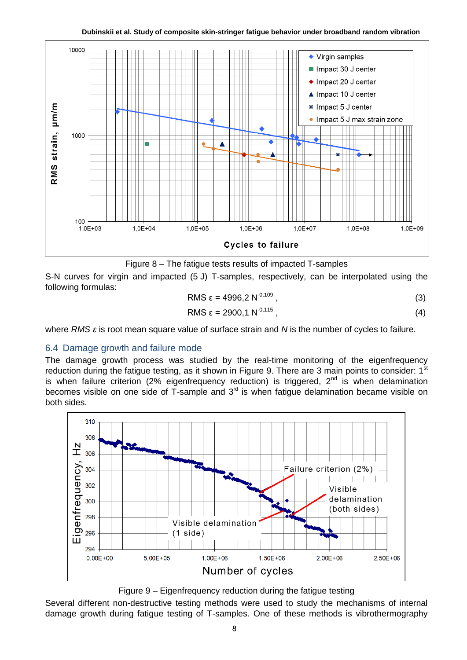

Figure 8 – The fatigue tests results of impacted T-samples

S-N curves for virgin and impacted (5 J) T-samples, respectively, can be interpolated using the following formulas:

$$
RMS \varepsilon = 4996.2 N^{-0.109}, \qquad (3)
$$

$$
RMS \varepsilon = 2900, 1 \, N^{-0.115} \,, \tag{4}
$$

where *RMS ε* is root mean square value of surface strain and *N* is the number of cycles to failure.

### 6.4 Damage growth and failure mode

The damage growth process was studied by the real-time monitoring of the eigenfrequency reduction during the fatigue testing, as it shown in Figure 9. There are 3 main points to consider:  $1<sup>st</sup>$ is when failure criterion (2% eigenfrequency reduction) is triggered,  $2^{nd}$  is when delamination becomes visible on one side of  $\overline{T}$ -sample and  $3<sup>rd</sup>$  is when fatigue delamination became visible on both sides.





Several different non-destructive testing methods were used to study the mechanisms of internal damage growth during fatigue testing of T-samples. One of these methods is vibrothermography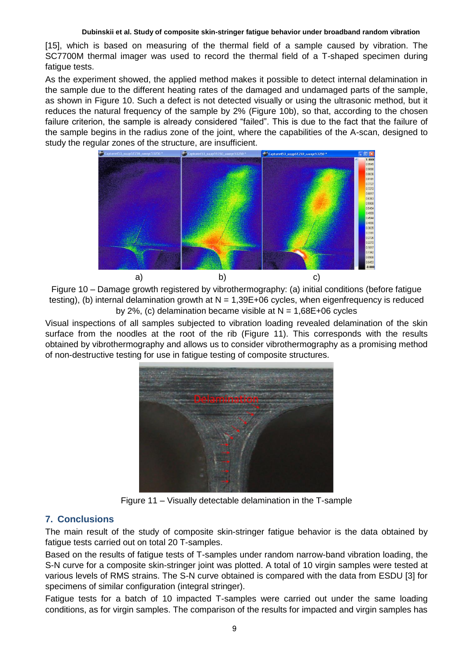[15], which is based on measuring of the thermal field of a sample caused by vibration. The SC7700M thermal imager was used to record the thermal field of a T-shaped specimen during fatigue tests.

As the experiment showed, the applied method makes it possible to detect internal delamination in the sample due to the different heating rates of the damaged and undamaged parts of the sample, as shown in Figure 10. Such a defect is not detected visually or using the ultrasonic method, but it reduces the natural frequency of the sample by 2% (Figure 10b), so that, according to the chosen failure criterion, the sample is already considered "failed". This is due to the fact that the failure of the sample begins in the radius zone of the joint, where the capabilities of the A-scan, designed to study the regular zones of the structure, are insufficient.



Figure 10 – Damage growth registered by vibrothermography: (a) initial conditions (before fatigue testing), (b) internal delamination growth at  $N = 1,39E+06$  cycles, when eigenfrequency is reduced by 2%, (c) delamination became visible at  $N = 1,68E+06$  cycles

Visual inspections of all samples subjected to vibration loading revealed delamination of the skin surface from the noodles at the root of the rib (Figure 11). This corresponds with the results obtained by vibrothermography and allows us to consider vibrothermography as a promising method of non-destructive testing for use in fatigue testing of composite structures.



Figure 11 – Visually detectable delamination in the T-sample

# **7. Conclusions**

The main result of the study of composite skin-stringer fatigue behavior is the data obtained by fatigue tests carried out on total 20 T-samples.

Based on the results of fatigue tests of T-samples under random narrow-band vibration loading, the S-N curve for a composite skin-stringer joint was plotted. A total of 10 virgin samples were tested at various levels of RMS strains. The S-N curve obtained is compared with the data from ESDU [3] for specimens of similar configuration (integral stringer).

Fatigue tests for a batch of 10 impacted T-samples were carried out under the same loading conditions, as for virgin samples. The comparison of the results for impacted and virgin samples has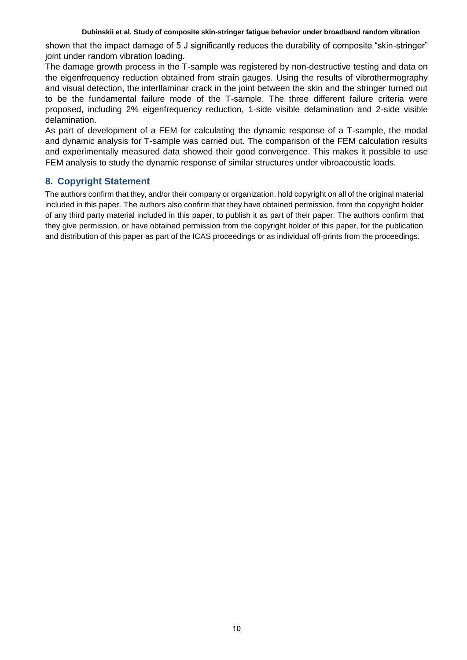shown that the impact damage of 5 J significantly reduces the durability of composite "skin-stringer" joint under random vibration loading.

The damage growth process in the T-sample was registered by non-destructive testing and data on the eigenfrequency reduction obtained from strain gauges. Using the results of vibrothermography and visual detection, the interllaminar crack in the joint between the skin and the stringer turned out to be the fundamental failure mode of the T-sample. The three different failure criteria were proposed, including 2% eigenfrequency reduction, 1-side visible delamination and 2-side visible delamination.

As part of development of a FEM for calculating the dynamic response of a T-sample, the modal and dynamic analysis for T-sample was carried out. The comparison of the FEM calculation results and experimentally measured data showed their good convergence. This makes it possible to use FEM analysis to study the dynamic response of similar structures under vibroacoustic loads.

# **8. Copyright Statement**

The authors confirm that they, and/or their company or organization, hold copyright on all of the original material included in this paper. The authors also confirm that they have obtained permission, from the copyright holder of any third party material included in this paper, to publish it as part of their paper. The authors confirm that they give permission, or have obtained permission from the copyright holder of this paper, for the publication and distribution of this paper as part of the ICAS proceedings or as individual off-prints from the proceedings.